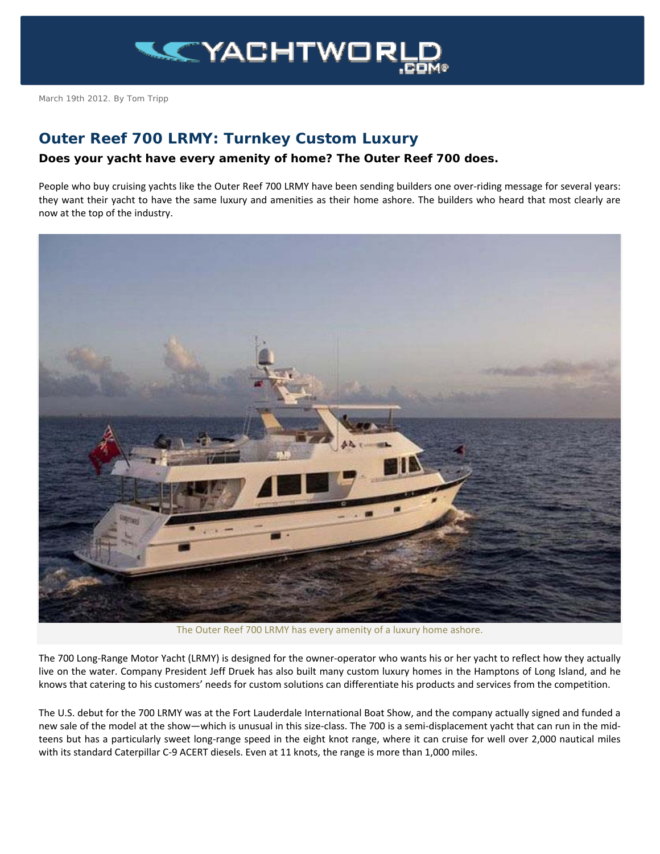

March 19th 2012. By Tom Tripp

## **Outer Reef 700 LRMY: Turnkey Custom Luxury**

## **Does your yacht have every amenity of home? The Outer Reef 700 does.**

People who buy cruising yachts like the Outer Reef 700 LRMY have been sending builders one over-riding message for several years: they want their yacht to have the same luxury and amenities as their home ashore. The builders who heard that most clearly are now at the top of the industry.



The Outer Reef 700 LRMY has every amenity of a luxury home ashore.

The 700 Long-Range Motor Yacht (LRMY) is designed for the owner-operator who wants his or her yacht to reflect how they actually live on the water. Company President Jeff Druek has also built many custom luxury homes in the Hamptons of Long Island, and he knows that catering to his customers' needs for custom solutions can differentiate his products and services from the competition.

The U.S. debut for the 700 LRMY was at the Fort Lauderdale International Boat Show, and the company actually signed and funded a new sale of the model at the show—which is unusual in this size-class. The 700 is a semi-displacement yacht that can run in the midteens but has a particularly sweet long-range speed in the eight knot range, where it can cruise for well over 2,000 nautical miles with its standard Caterpillar C-9 ACERT diesels. Even at 11 knots, the range is more than 1,000 miles.